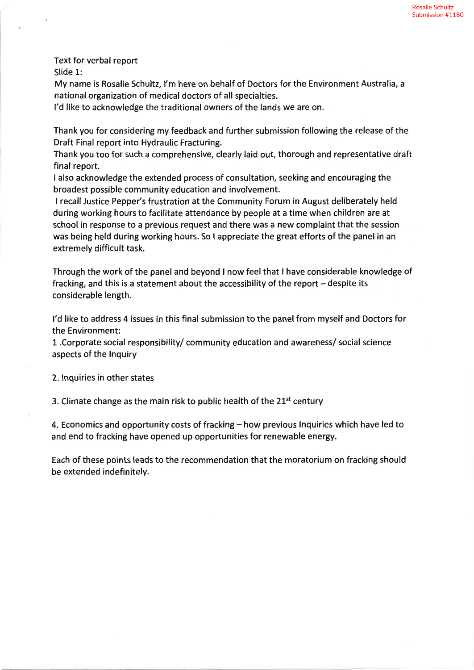Text for verbal report Slide L:

My name is Rosalie Schultz, l'm here on behalf of Doctors for the Environment Australia, <sup>a</sup> national organization of medical doctors of all specialties.

l'd like to acknowledge the traditional owners of the lands we are on.

Thank you for considering my feedback and further submission following the release of the Draft Final report into Hydraulic Fracturing.

Thank you too for such a comprehensive, clearly laid out, thorough and representative draft final report.

I also acknowledge the extended process of consultation, seeking and encouraging the broadest possible community education and involvement.

I recallJustice Pepper's frustration at the Community Forum in August deliberately held during working hours to facilitate attendance by people at a time when children are at school in response to a previous request and there was a new complaint that the session was being held during working hours. So I appreciate the great efforts of the panel in an extremely difficult task.

Through the work of the panel and beyond I now feel that I have considerable knowledge of fracking, and this is a statement about the accessibility of the report  $-$  despite its considerable length.

l'd like to address 4 issues ín this final submission to the panel from myself and Doctors for the Environment:

1- .Corporate social responsibility/ community education and awareness/ social science aspects of the Inquiry

2. lnquiries in other states

3. Climate change as the main risk to public health of the  $21<sup>st</sup>$  century

4. Economics and opportunity costs of fracking - how previous Inquiries which have led to and end to fracking have opened up opportunities for renewable energy.

Each of these points leads to the recommendation that the moratorium on fracking should be extended indefinitely.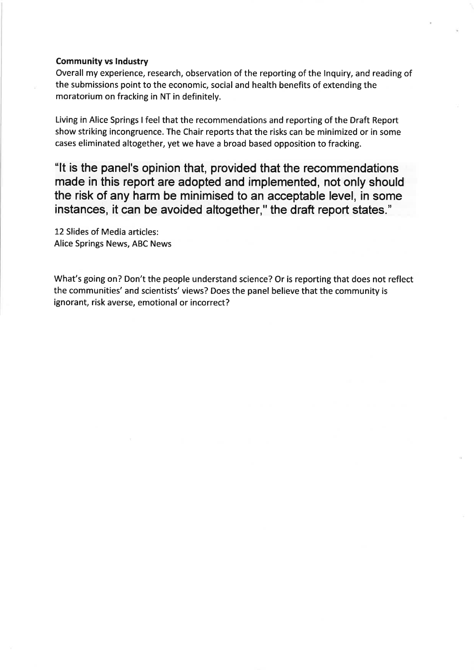#### Community vs Industry

Overall my experience, research, observation of the reporting of the lnquiry, and reading of the submissions point to the economic, social and health benefits of extending the moratorium on fracking in NT in definitely.

Living in Alice Springs I feel that the recommendations and reporting of the Draft Report show striking incongruence. The Chair reports that the risks can be minimized or in some cases eliminated altogether, yet we have a broad based opposition to fracking.

"It is the panel's opinion that, provided that the recommendations made in this report are adopted and implemented, not only should the risk of any harm be minimised to an acceptable level, in some instances, it can be avoided altogether," the draft report states."

12 Slides of Media articles: Alice Springs News, ABC News

What's going on? Don't the people understand science? Or is reporting that does not reflect the communities' and scientists' views? Does the panel believe that the community is ignorant, risk averse, emotional or incorrect?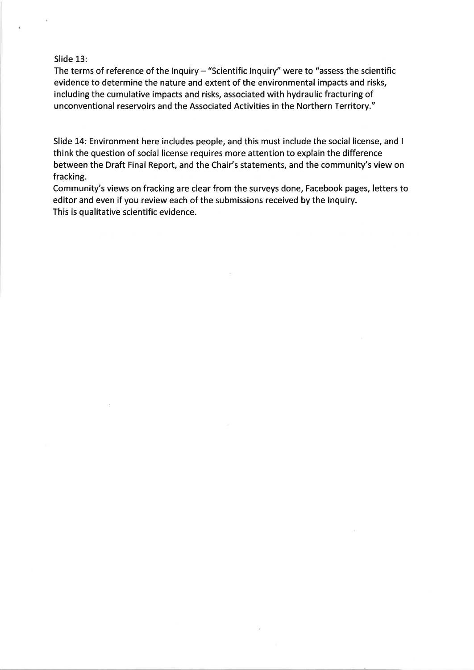# Slide 13:

The terms of reference of the Inquiry  $-$  "Scientific Inquiry" were to "assess the scientific evidence to determine the nature and extent of the environmental impacts and risks, including the cumulative impacts and risks, associated with hydraulic fracturing of unconventional reservoirs and the Associated Activities in the Northern Territory."

Slide 14: Environment here includes people, and this must include the social license, and <sup>I</sup> think the question of social license requires more attention to explain the difference between the Draft Final Report, and the Chair's statements, and the community's view on fracking.

Community's views on fracking are clear from the surveys done, Facebook pages, letters to editor and even if you review each of the submissions received by the lnquiry. This is qualitative scientific evidence.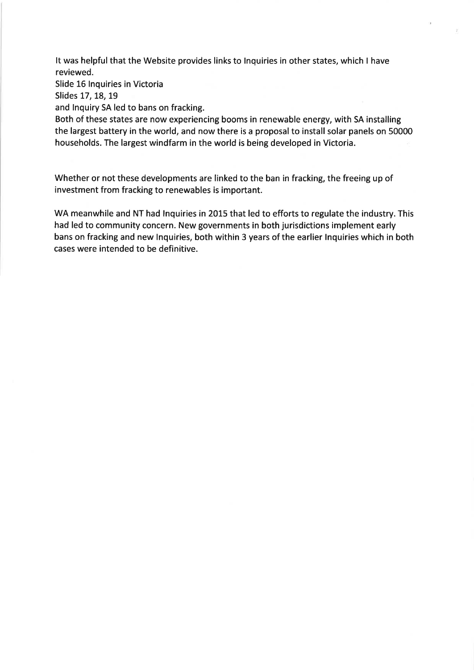It was helpful that the Website provides links to lnquiries in other states, which I have reviewed.

Slide 16 lnquiries in Victoria

Slides 17, 18, 19

and lnquiry SA led to bans on fracking.

Both of these states are now experiencing booms in renewable energy, with SA installing the largest battery in the world, and now there is a proposal to install solar panels on 50000 households. The largest windfarm in the world is being developed in Victoria.

Whether or not these developments are linked to the ban in fracking, the freeing up of investment from fracking to renewables is important.

WA meanwhile and NT had Inquiries in 2015 that led to efforts to regulate the industry. This had led to community concern. New governments in both jurisdictions implement early bans on fracking and new lnquiries, both within 3 years of the earlier lnquiries which in both cases were intended to be definitive.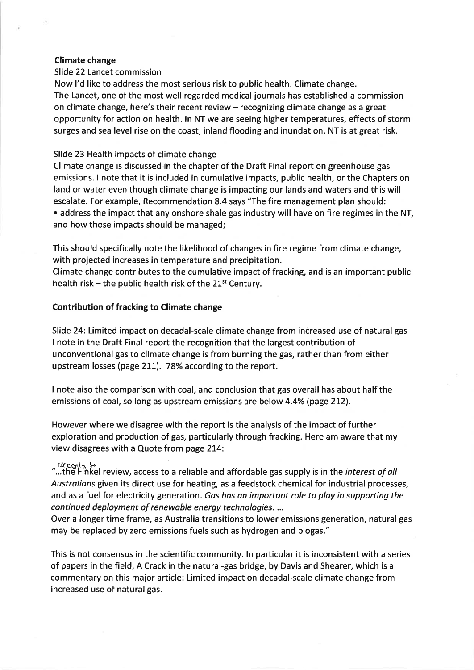## Climate change

#### Slide 22 Lancet commission

Now l'd like to address the most serious risk to public health: Climate change. The Lancet, one of the most well regarded medical journals has established a commission on climate change, here's their recent review - recognizing climate change as a great opportunity for action on health. ln NT we are seeing higher temperatures, effects of storm surges and sea level rise on the coast, inland flooding and inundation. NT is at great risk.

### Slide 23 Health impacts of climate change

Climate change is discussed in the chapter of the Draft Final report on greenhouse gas emissions. I note that it is included in cumulative impacts, public health, or the Chapters on land or water even though climate change is impacting our lands and waters and this will escalate. For example, Recommendation 8.4 says "The fire management plan should: • address the impact that any onshore shale gas industry will have on fire regimes in the NT, and how those impacts should be managed;

This should specifically note the likelihood of changes in fire regime from clímate change, with projected increases in temperature and precipitation.

Climate change contributes to the cumulative impact of fracking, and is an important public health risk – the public health risk of the  $21^{st}$  Century.

## Contribution of fracking to Climate change

Slide 24: Limited impact on decadal-scale climate change from increased use of natural gas I note in the Draft Final report the recognition that the largest contribution of unconventional gas to climate change is from burning the gas, rather than from either upstream losses (page 211). 78% according to the report.

I note also the comparison with coal, and conclusion that gas overall has about half the emissions of coal, so long as upstream emissions are below 4.4% (page 212).

However where we disagree with the report is the analysis of the impact of further exploration and production of gas, particularly through fracking. Here am aware that my view disagrees with a Quote from page 214:

 $\mathcal{L}$   $\mathcal{L}$   $\mathcal{L}$   $\mathcal{L}$   $\mathcal{L}$   $\mathcal{L}$   $\mathcal{L}$  review, access to a reliable and affordable gas supply is in the *interest of all* Australians given its direct use for heating, as a feedstock chemical for industrial processes, and as a fuel for electricity generation. Gas has an important role to play in supporting the continued deployment of renewable energy technologies. ...

Over a longer time frame, as Australia transitions to lower emissions generation, natural gas may be replaced by zero emissions fuels such as hydrogen and biogas."

This is not consensus in the scientific community. ln particular it is inconsistent with a series of papers in the field, A Crack in the natural-gas bridge, by Davis and Shearer, which is a commentary on this major article: Limited impact on decadal-scale climate change from increased use of natural gas.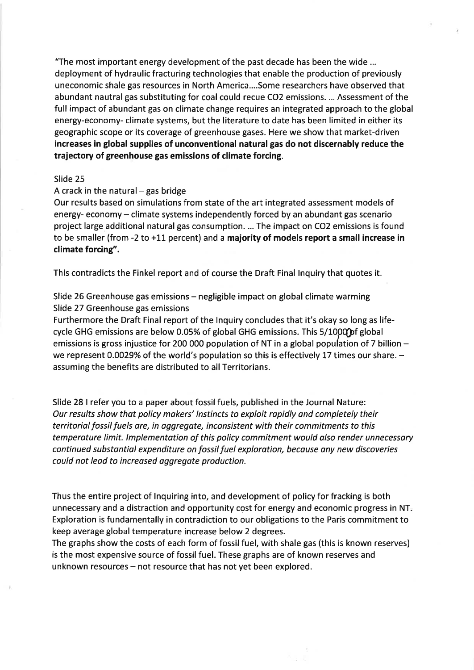"The most important energy development of the past decade has been the wide ... deployment of hydraulic fracturing technologies that enable the production of previously uneconomic shale gas resources in North America....Some researchers have observed that abundant nautral gas substituting for coal could recue CO2 emissions. ... Assessment of the full impact of abundant gas on climate change requires an integrated approach to the global energy-economy- climate systems, but the literature to date has been limited in either its geographic scope or its coverage of greenhouse gases. Here we show that market-driven increases in global supplies of unconventional naturalgas do not discernably reduce the trajectory of greenhouse gas emissions of climate forcing.

#### Slide 25

#### A crack in the natural  $-$  gas bridge

Our results based on simulations from state of the art integrated assessment models of energy- economy – climate systems independently forced by an abundant gas scenario project large additional natural gas consumption. ... The impact on CO2 emissions is found to be smaller (from  $-2$  to  $+11$  percent) and a majority of models report a small increase in climate forcing".

This contradícts the Finkel report and of course the Draft Final lnquiry that quotes it.

Slide 26 Greenhouse gas emissions – negligible impact on global climate warming Slide 27 Greenhouse gas emissions

Furthermore the Draft Final report of the lnquiry concludes that it's okay so long as lifecycle GHG emissions are below 0.05% of global GHG emissions. This 5/1000 of global emissions is gross injustice for 200 000 population of NT in a global population of 7 billion  $$ we represent 0.0029% of the world's population so this is effectively 17 times our share.  $$ assuming the benefits are distributed to all Territorians.

Slide 28 I refer you to a paper about fossil fuels, published in the Journal Nature: Our results show that policy makers' instincts to exploit rapidly and completely their territorial fossil fuels are, in oggregate, inconsistent with their commitments to this temperoture limít. lmplementotion of this policy commitment would also render unnecessory continued substantial expenditure on fossil fuel exploration, because any new discoveries could not leød to increosed aggregate production.

Thus the entire project of lnquiring into, and development of policy for fracking is both unnecessary and a distraction and opportunity cost for energy and economic progress in NT Exploration is fundamentally in contradiction to our obligations to the Paris commitment to keep average global temperature increase below 2 degrees.

The graphs show the costs of each form of fossil fuel, with shale gas (this is known reserves) is the most expensive source of fossil fuel. These graphs are of known reserves and unknown resources – not resource that has not yet been explored.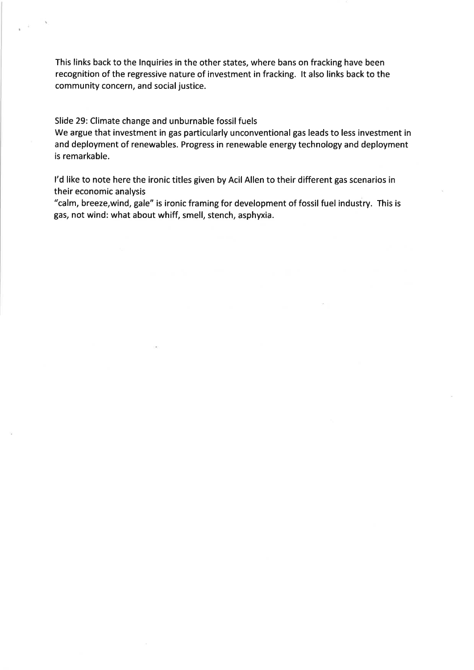This links back to the lnquiries in the other states, where bans on fracking have been recognition of the regressive nature of investment in fracking. lt also links back to the community concern, and social justice.

Slide 29: Climate change and unburnable fossil fuels

We argue that investment in gas particularly unconventional gas leads to less investment in and deployment of renewables. Progress in renewable energy technology and deployment is remarkable.

l'd like to note here the ironic titles given by Acil Allen to their different gas scenarios in their economic analysis

"calm, breeze,wind, gale" is ironic framing for development of fossil fuel industry. This is gas, not wind: what about whiff, smell, stench, asphyxia.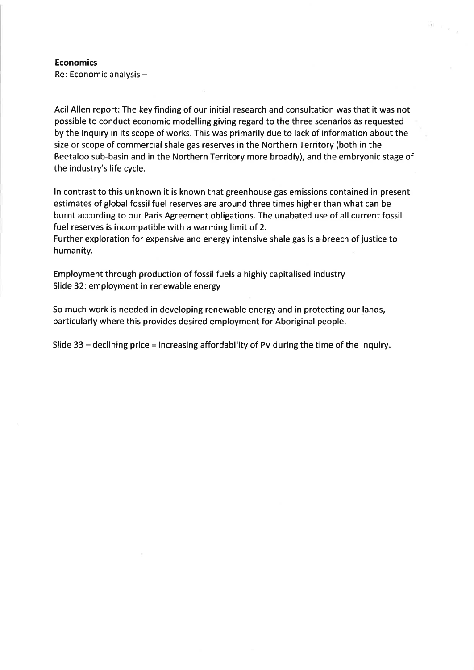# Economics

Re: Economic analysis -

Acil Allen report: The key finding of our initial research and consultation was that it was not possible to conduct economic modelling giving regard to the three scenarios as requested by the lnquiry in its scope of works. This was primarily due to lack of information about the size or scope of commercial shale gas reserves in the Northern Territory (both in the Beetaloo sub-basin and in the Northern Territory more broadly), and the embryonic stage of the industry's life cycle.

 $\Omega=\rho_{\rm max}$ 

ln contrast to this unknown it is known that greenhouse gas emissions contained in present estimates of global fossil fuel reserves are around three times higher than what can be burnt according to our Paris Agreement obligations. The unabated use of all current fossil fuel reserves is incompatible with a warming limit of 2.

Further exploration for expensive and energy intensive shale gas is a breech of justice to humanity.

Employment through production of fossil fuels a highly capitalised industry Slide 32: employment in renewable energy

So much work is needed in developing renewable energy and in protecting our lands, particularly where this provides desired employment for Aboriginal people.

Slide 33 - declining price = increasing affordability of PV during the time of the Inquiry.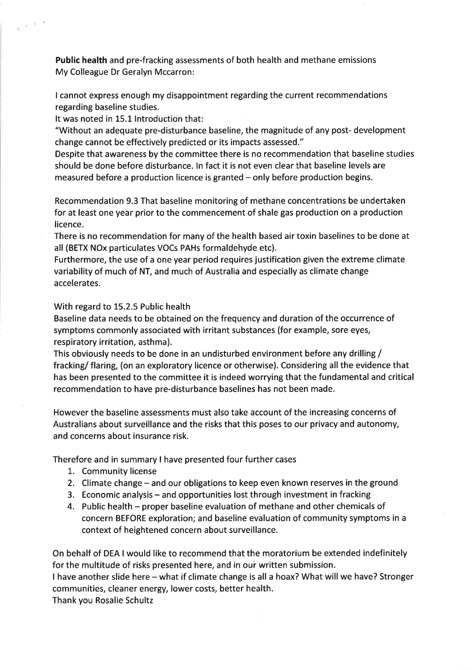Public health and pre-fracking assessments of both health and methane emissions My Colleague Dr Geralyn Mccarron:

I cannot express enough my disappointment regarding the current recommendations regarding baseline studies.

It was noted in 15.1 lntroduction that:

 $\omega \rightarrow 0$ 

"Without an adequate pre-disturbance baseline, the magnitude of any post- development change cannot be effectively predicted or its impacts assessed."

Despite that awareness by the committee there is no recommendation that baseline studies should be done before disturbance. In fact it is not even clear that baseline levels are measured before a production licence is granted – only before production begins.

Recommendation 9.3 That baseline monitoring of methane concentrations be undertaken for at least one year prior to the commencement of shale gas production on a production licence.

There is no recommendation for many of the health based air toxin baselines to be done at all (BETX NOx particulates VOCs PAHs formaldehyde etc).

Furthermore, the use of a one year period requires justification given the extreme climate variability of much of NT, and much of Australia and especially as climate change accelerates.

# With regard to 15.2.5 Public health

Baseline data needs to be obtained on the frequency and duration of the occurrence of symptoms commonly associated with irritant substances (for example, sore eyes, respiratory irritation, asthma).

This obviously needs to be done in an undisturbed environment before any drilling / fracking/ flaring, (on an exploratory licence or otherwise). Considering all the evidence that has been presented to the committee it is indeed worrying that the fundamental and critical recommendation to have pre-disturbance baselines has not been made.

However the baseline assessments must also take account of the increasing concerns of Australians about surveillance and the risks that this poses to our privacy and autonomy, and concerns about insurance risk.

Therefore and in summary I have presented four further cases

- 1. Community license
- 2. Climate change and our obligations to keep even known reserves in the ground
- 3. Economic analysis and opportunities lost through investment in fracking
- 4. Public health proper baseline evaluation of methane and other chemicals of concern BEFORE exploration; and baseline evaluation of community symptoms in a context of heightened concern about surveillance.

On behalf of DEA I would like to recommend that the moratorium be extended indefinitely for the multitude of risks presented here, and in our written submission.

<sup>I</sup>have another slide here - what if climate change is all a hoax? What will we have? Stronger communities, cleaner energy, lower costs, better health. Thank you Rosalie Schultz